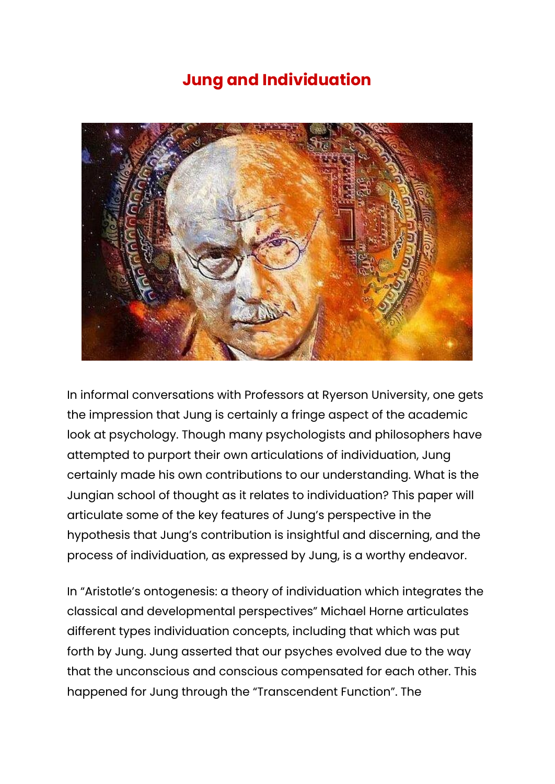## **Jung and Individuation**



In informal conversations with Professors at Ryerson University, one gets the impression that Jung is certainly a fringe aspect of the academic look at psychology. Though many psychologists and philosophers have attempted to purport their own articulations of individuation, Jung certainly made his own contributions to our understanding. What is the Jungian school of thought as it relates to individuation? This paper will articulate some of the key features of Jung's perspective in the hypothesis that Jung's contribution is insightful and discerning, and the process of individuation, as expressed by Jung, is a worthy endeavor.

In "Aristotle's ontogenesis: a theory of individuation which integrates the classical and developmental perspectives" Michael Horne articulates different types individuation concepts, including that which was put forth by Jung. Jung asserted that our psyches evolved due to the way that the unconscious and conscious compensated for each other. This happened for Jung through the "Transcendent Function". The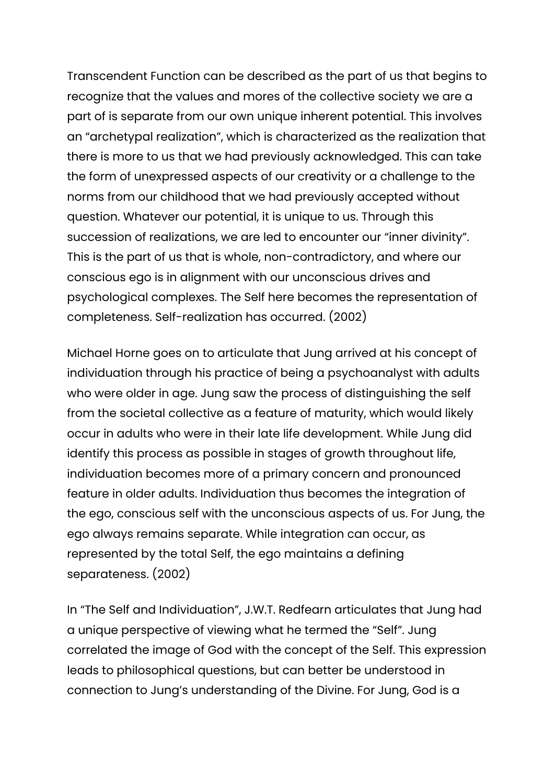Transcendent Function can be described as the part of us that begins to recognize that the values and mores of the collective society we are a part of is separate from our own unique inherent potential. This involves an "archetypal realization", which is characterized as the realization that there is more to us that we had previously acknowledged. This can take the form of unexpressed aspects of our creativity or a challenge to the norms from our childhood that we had previously accepted without question. Whatever our potential, it is unique to us. Through this succession of realizations, we are led to encounter our "inner divinity". This is the part of us that is whole, non-contradictory, and where our conscious ego is in alignment with our unconscious drives and psychological complexes. The Self here becomes the representation of completeness. Self-realization has occurred. (2002)

Michael Horne goes on to articulate that Jung arrived at his concept of individuation through his practice of being a psychoanalyst with adults who were older in age. Jung saw the process of distinguishing the self from the societal collective as a feature of maturity, which would likely occur in adults who were in their late life development. While Jung did identify this process as possible in stages of growth throughout life, individuation becomes more of a primary concern and pronounced feature in older adults. Individuation thus becomes the integration of the ego, conscious self with the unconscious aspects of us. For Jung, the ego always remains separate. While integration can occur, as represented by the total Self, the ego maintains a defining separateness. (2002)

In "The Self and Individuation", J.W.T. Redfearn articulates that Jung had a unique perspective of viewing what he termed the "Self". Jung correlated the image of God with the concept of the Self. This expression leads to philosophical questions, but can better be understood in connection to Jung's understanding of the Divine. For Jung, God is a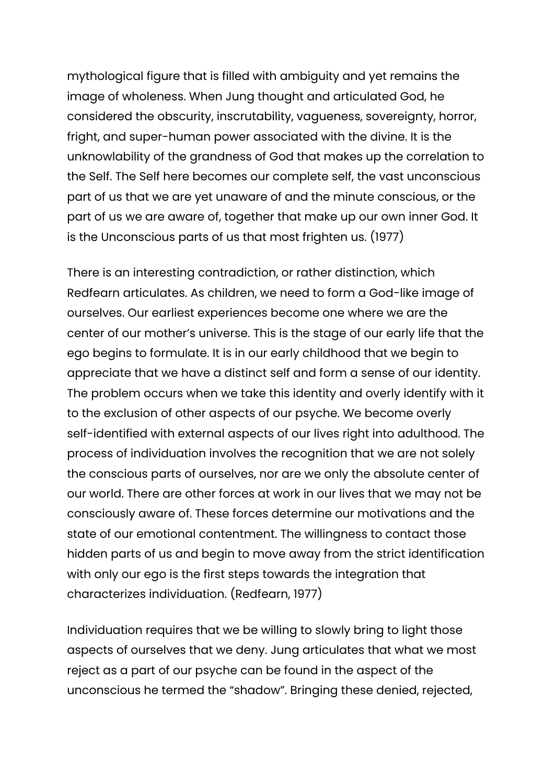mythological figure that is filled with ambiguity and yet remains the image of wholeness. When Jung thought and articulated God, he considered the obscurity, inscrutability, vagueness, sovereignty, horror, fright, and super-human power associated with the divine. It is the unknowlability of the grandness of God that makes up the correlation to the Self. The Self here becomes our complete self, the vast unconscious part of us that we are yet unaware of and the minute conscious, or the part of us we are aware of, together that make up our own inner God. It is the Unconscious parts of us that most frighten us. (1977)

There is an interesting contradiction, or rather distinction, which Redfearn articulates. As children, we need to form a God-like image of ourselves. Our earliest experiences become one where we are the center of our mother's universe. This is the stage of our early life that the ego begins to formulate. It is in our early childhood that we begin to appreciate that we have a distinct self and form a sense of our identity. The problem occurs when we take this identity and overly identify with it to the exclusion of other aspects of our psyche. We become overly self-identified with external aspects of our lives right into adulthood. The process of individuation involves the recognition that we are not solely the conscious parts of ourselves, nor are we only the absolute center of our world. There are other forces at work in our lives that we may not be consciously aware of. These forces determine our motivations and the state of our emotional contentment. The willingness to contact those hidden parts of us and begin to move away from the strict identification with only our ego is the first steps towards the integration that characterizes individuation. (Redfearn, 1977)

Individuation requires that we be willing to slowly bring to light those aspects of ourselves that we deny. Jung articulates that what we most reject as a part of our psyche can be found in the aspect of the unconscious he termed the "shadow". Bringing these denied, rejected,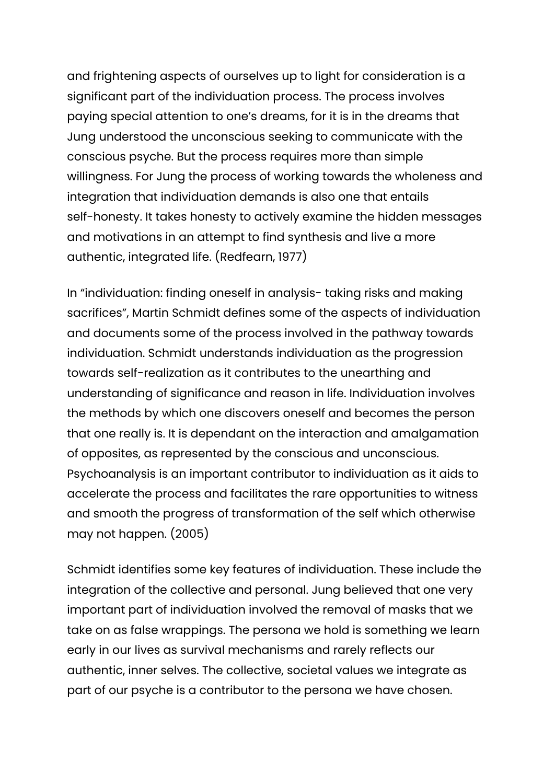and frightening aspects of ourselves up to light for consideration is a significant part of the individuation process. The process involves paying special attention to one's dreams, for it is in the dreams that Jung understood the unconscious seeking to communicate with the conscious psyche. But the process requires more than simple willingness. For Jung the process of working towards the wholeness and integration that individuation demands is also one that entails self-honesty. It takes honesty to actively examine the hidden messages and motivations in an attempt to find synthesis and live a more authentic, integrated life. (Redfearn, 1977)

In "individuation: finding oneself in analysis- taking risks and making sacrifices", Martin Schmidt defines some of the aspects of individuation and documents some of the process involved in the pathway towards individuation. Schmidt understands individuation as the progression towards self-realization as it contributes to the unearthing and understanding of significance and reason in life. Individuation involves the methods by which one discovers oneself and becomes the person that one really is. It is dependant on the interaction and amalgamation of opposites, as represented by the conscious and unconscious. Psychoanalysis is an important contributor to individuation as it aids to accelerate the process and facilitates the rare opportunities to witness and smooth the progress of transformation of the self which otherwise may not happen. (2005)

Schmidt identifies some key features of individuation. These include the integration of the collective and personal. Jung believed that one very important part of individuation involved the removal of masks that we take on as false wrappings. The persona we hold is something we learn early in our lives as survival mechanisms and rarely reflects our authentic, inner selves. The collective, societal values we integrate as part of our psyche is a contributor to the persona we have chosen.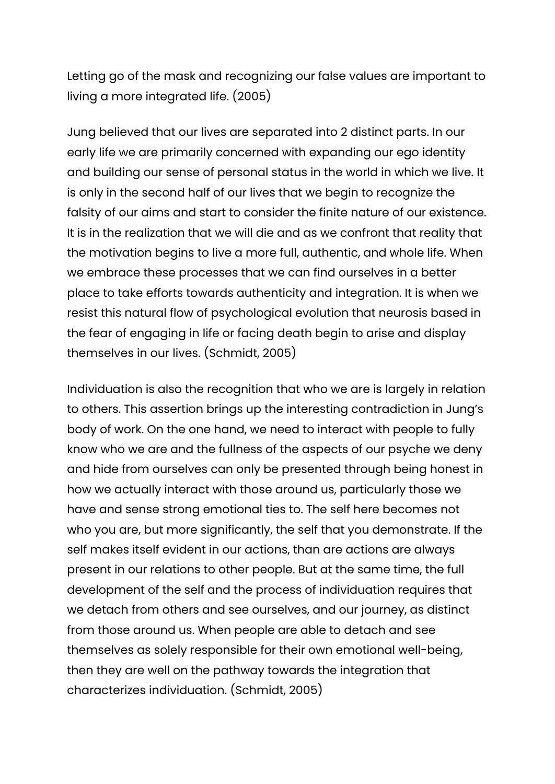Letting go of the mask and recognizing our false values are important to living a more integrated life. (2005)

Jung believed that our lives are separated into 2 distinct parts. In our early life we are primarily concerned with expanding our ego identity and building our sense of personal status in the world in which we live. It is only in the second half of our lives that we begin to recognize the falsity of our aims and start to consider the finite nature of our existence. It is in the realization that we will die and as we confront that reality that the motivation begins to live a more full, authentic, and whole life. When we embrace these processes that we can find ourselves in a better place to take efforts towards authenticity and integration. It is when we resist this natural flow of psychological evolution that neurosis based in the fear of engaging in life or facing death begin to arise and display themselves in our lives. (Schmidt, 2005)

Individuation is also the recognition that who we are is largely in relation to others. This assertion brings up the interesting contradiction in Jung's body of work. On the one hand, we need to interact with people to fully know who we are and the fullness of the aspects of our psyche we deny and hide from ourselves can only be presented through being honest in how we actually interact with those around us, particularly those we have and sense strong emotional ties to. The self here becomes not who you are, but more significantly, the self that you demonstrate. If the self makes itself evident in our actions, than are actions are always present in our relations to other people. But at the same time, the full development of the self and the process of individuation requires that we detach from others and see ourselves, and our journey, as distinct from those around us. When people are able to detach and see themselves as solely responsible for their own emotional well-being, then they are well on the pathway towards the integration that characterizes individuation. (Schmidt, 2005)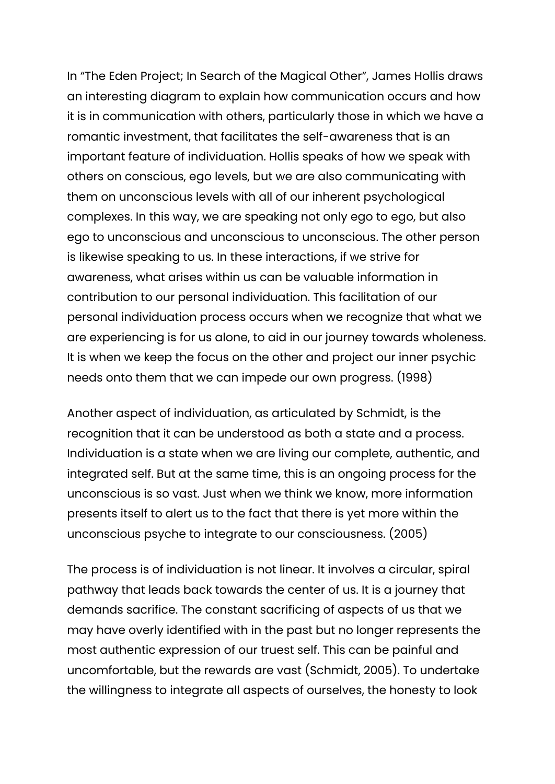In "The Eden Project; In Search of the Magical Other", James Hollis draws an interesting diagram to explain how communication occurs and how it is in communication with others, particularly those in which we have a romantic investment, that facilitates the self-awareness that is an important feature of individuation. Hollis speaks of how we speak with others on conscious, ego levels, but we are also communicating with them on unconscious levels with all of our inherent psychological complexes. In this way, we are speaking not only ego to ego, but also ego to unconscious and unconscious to unconscious. The other person is likewise speaking to us. In these interactions, if we strive for awareness, what arises within us can be valuable information in contribution to our personal individuation. This facilitation of our personal individuation process occurs when we recognize that what we are experiencing is for us alone, to aid in our journey towards wholeness. It is when we keep the focus on the other and project our inner psychic needs onto them that we can impede our own progress. (1998)

Another aspect of individuation, as articulated by Schmidt, is the recognition that it can be understood as both a state and a process. Individuation is a state when we are living our complete, authentic, and integrated self. But at the same time, this is an ongoing process for the unconscious is so vast. Just when we think we know, more information presents itself to alert us to the fact that there is yet more within the unconscious psyche to integrate to our consciousness. (2005)

The process is of individuation is not linear. It involves a circular, spiral pathway that leads back towards the center of us. It is a journey that demands sacrifice. The constant sacrificing of aspects of us that we may have overly identified with in the past but no longer represents the most authentic expression of our truest self. This can be painful and uncomfortable, but the rewards are vast (Schmidt, 2005). To undertake the willingness to integrate all aspects of ourselves, the honesty to look